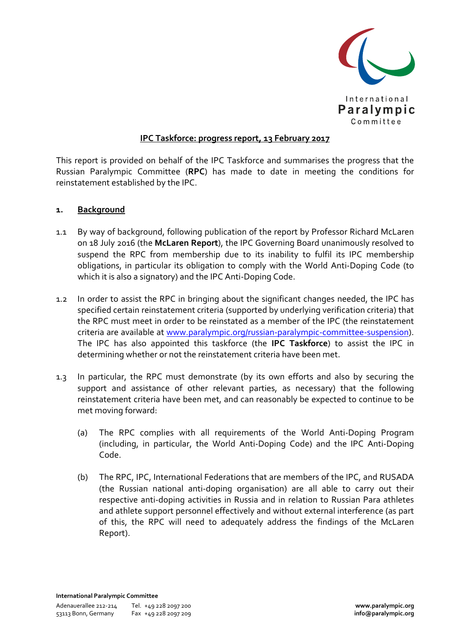

## **IPC Taskforce: progress report, 13 February 2017**

This report is provided on behalf of the IPC Taskforce and summarises the progress that the Russian Paralympic Committee (**RPC**) has made to date in meeting the conditions for reinstatement established by the IPC.

## **1. Background**

- 1.1 By way of background, following publication of the report by Professor Richard McLaren on 18 July 2016 (the **McLaren Report**), the IPC Governing Board unanimously resolved to suspend the RPC from membership due to its inability to fulfil its IPC membership obligations, in particular its obligation to comply with the World Anti-Doping Code (to which it is also a signatory) and the IPC Anti-Doping Code.
- 1.2 In order to assist the RPC in bringing about the significant changes needed, the IPC has specified certain reinstatement criteria (supported by underlying verification criteria) that the RPC must meet in order to be reinstated as a member of the IPC (the reinstatement criteria are available at www.paralympic.org/russian-paralympic-committee-suspension). The IPC has also appointed this taskforce (the **IPC Taskforce**) to assist the IPC in determining whether or not the reinstatement criteria have been met.
- 1.3 In particular, the RPC must demonstrate (by its own efforts and also by securing the support and assistance of other relevant parties, as necessary) that the following reinstatement criteria have been met, and can reasonably be expected to continue to be met moving forward:
	- (a) The RPC complies with all requirements of the World Anti-Doping Program (including, in particular, the World Anti-Doping Code) and the IPC Anti-Doping Code.
	- (b) The RPC, IPC, International Federations that are members of the IPC, and RUSADA (the Russian national anti-doping organisation) are all able to carry out their respective anti-doping activities in Russia and in relation to Russian Para athletes and athlete support personnel effectively and without external interference (as part of this, the RPC will need to adequately address the findings of the McLaren Report).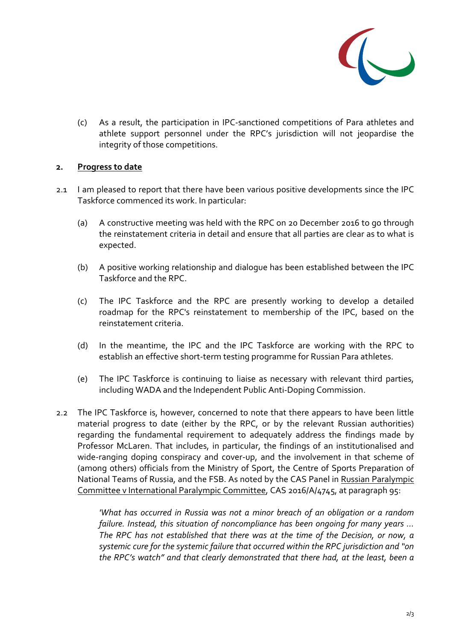

(c) As a result, the participation in IPC-sanctioned competitions of Para athletes and athlete support personnel under the RPC's jurisdiction will not jeopardise the integrity of those competitions.

## **2. Progress to date**

- 2.1 I am pleased to report that there have been various positive developments since the IPC Taskforce commenced its work. In particular:
	- (a) A constructive meeting was held with the RPC on 20 December 2016 to go through the reinstatement criteria in detail and ensure that all parties are clear as to what is expected.
	- (b) A positive working relationship and dialogue has been established between the IPC Taskforce and the RPC.
	- (c) The IPC Taskforce and the RPC are presently working to develop a detailed roadmap for the RPC's reinstatement to membership of the IPC, based on the reinstatement criteria.
	- (d) In the meantime, the IPC and the IPC Taskforce are working with the RPC to establish an effective short-term testing programme for Russian Para athletes.
	- (e) The IPC Taskforce is continuing to liaise as necessary with relevant third parties, including WADA and the Independent Public Anti-Doping Commission.
- 2.2 The IPC Taskforce is, however, concerned to note that there appears to have been little material progress to date (either by the RPC, or by the relevant Russian authorities) regarding the fundamental requirement to adequately address the findings made by Professor McLaren. That includes, in particular, the findings of an institutionalised and wide-ranging doping conspiracy and cover-up, and the involvement in that scheme of (among others) officials from the Ministry of Sport, the Centre of Sports Preparation of National Teams of Russia, and the FSB. As noted by the CAS Panel in Russian Paralympic Committee v International Paralympic Committee, CAS 2016/A/4745, at paragraph 95:

*'What has occurred in Russia was not a minor breach of an obligation or a random failure. Instead, this situation of noncompliance has been ongoing for many years … The RPC has not established that there was at the time of the Decision, or now, a systemic cure for the systemic failure that occurred within the RPC jurisdiction and "on the RPC's watch" and that clearly demonstrated that there had, at the least, been a*